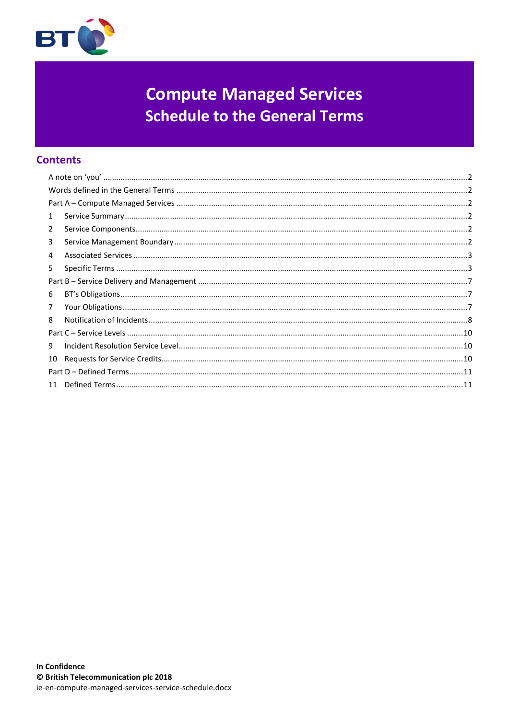

# **Compute Managed Services Schedule to the General Terms**

# **Contents**

| $\mathbf{1}$ |  |  |  |
|--------------|--|--|--|
| 2            |  |  |  |
| 3            |  |  |  |
| 4            |  |  |  |
| 5            |  |  |  |
|              |  |  |  |
| 6            |  |  |  |
| 7            |  |  |  |
| 8            |  |  |  |
|              |  |  |  |
| 9            |  |  |  |
| 10           |  |  |  |
|              |  |  |  |
|              |  |  |  |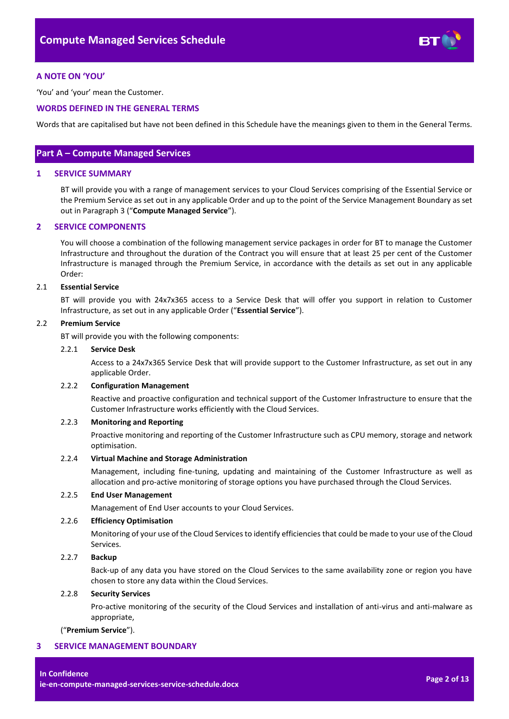

# <span id="page-1-0"></span>**A NOTE ON 'YOU'**

'You' and 'your' mean the Customer.

# <span id="page-1-1"></span>**WORDS DEFINED IN THE GENERAL TERMS**

Words that are capitalised but have not been defined in this Schedule have the meanings given to them in the General Terms.

# <span id="page-1-2"></span>**Part A – Compute Managed Services**

# <span id="page-1-3"></span>**1 SERVICE SUMMARY**

BT will provide you with a range of management services to your Cloud Services comprising of the Essential Service or the Premium Service as set out in any applicable Order and up to the point of the Service Management Boundary as set out in Paragraph [3](#page-1-5) ("**Compute Managed Service**").

#### <span id="page-1-4"></span>**2 SERVICE COMPONENTS**

You will choose a combination of the following management service packages in order for BT to manage the Customer Infrastructure and throughout the duration of the Contract you will ensure that at least 25 per cent of the Customer Infrastructure is managed through the Premium Service, in accordance with the details as set out in any applicable Order:

#### <span id="page-1-7"></span>2.1 **Essential Service**

BT will provide you with 24x7x365 access to a Service Desk that will offer you support in relation to Customer Infrastructure, as set out in any applicable Order ("**Essential Service**").

#### <span id="page-1-8"></span>2.2 **Premium Service**

BT will provide you with the following components:

#### 2.2.1 **Service Desk**

Access to a 24x7x365 Service Desk that will provide support to the Customer Infrastructure, as set out in any applicable Order.

#### 2.2.2 **Configuration Management**

Reactive and proactive configuration and technical support of the Customer Infrastructure to ensure that the Customer Infrastructure works efficiently with the Cloud Services.

#### 2.2.3 **Monitoring and Reporting**

Proactive monitoring and reporting of the Customer Infrastructure such as CPU memory, storage and network optimisation.

# 2.2.4 **Virtual Machine and Storage Administration**

Management, including fine-tuning, updating and maintaining of the Customer Infrastructure as well as allocation and pro-active monitoring of storage options you have purchased through the Cloud Services.

#### 2.2.5 **End User Management**

Management of End User accounts to your Cloud Services.

# 2.2.6 **Efficiency Optimisation**

Monitoring of your use of the Cloud Services to identify efficiencies that could be made to your use of the Cloud Services.

# <span id="page-1-6"></span>2.2.7 **Backup**

Back-up of any data you have stored on the Cloud Services to the same availability zone or region you have chosen to store any data within the Cloud Services.

# 2.2.8 **Security Services**

Pro-active monitoring of the security of the Cloud Services and installation of anti-virus and anti-malware as appropriate,

("**Premium Service**").

## <span id="page-1-5"></span>**3 SERVICE MANAGEMENT BOUNDARY**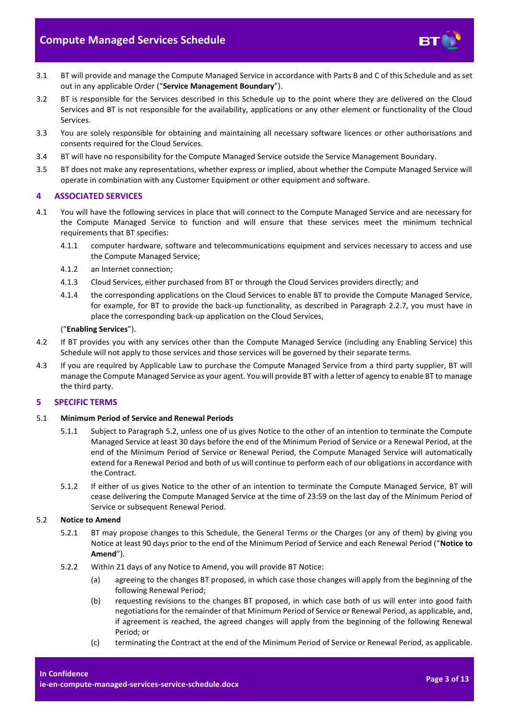

- 3.1 BT will provide and manage the Compute Managed Service in accordance with Parts B and C of this Schedule and as set out in any applicable Order ("**Service Management Boundary**").
- 3.2 BT is responsible for the Services described in this Schedule up to the point where they are delivered on the Cloud Services and BT is not responsible for the availability, applications or any other element or functionality of the Cloud Services.
- 3.3 You are solely responsible for obtaining and maintaining all necessary software licences or other authorisations and consents required for the Cloud Services.
- 3.4 BT will have no responsibility for the Compute Managed Service outside the Service Management Boundary.
- 3.5 BT does not make any representations, whether express or implied, about whether the Compute Managed Service will operate in combination with any Customer Equipment or other equipment and software.

# <span id="page-2-0"></span>**4 ASSOCIATED SERVICES**

- <span id="page-2-5"></span>4.1 You will have the following services in place that will connect to the Compute Managed Service and are necessary for the Compute Managed Service to function and will ensure that these services meet the minimum technical requirements that BT specifies:
	- 4.1.1 computer hardware, software and telecommunications equipment and services necessary to access and use the Compute Managed Service;
	- 4.1.2 an Internet connection;
	- 4.1.3 Cloud Services, either purchased from BT or through the Cloud Services providers directly; and
	- 4.1.4 the corresponding applications on the Cloud Services to enable BT to provide the Compute Managed Service, for example, for BT to provide the back-up functionality, as described in Paragraph [2.2.7,](#page-1-6) you must have in place the corresponding back-up application on the Cloud Services,

#### ("**Enabling Services**").

- 4.2 If BT provides you with any services other than the Compute Managed Service (including any Enabling Service) this Schedule will not apply to those services and those services will be governed by their separate terms.
- 4.3 If you are required by Applicable Law to purchase the Compute Managed Service from a third party supplier, BT will manage the Compute Managed Service as your agent. You will provide BT with a letter of agency to enable BT to manage the third party.

# <span id="page-2-1"></span>**5 SPECIFIC TERMS**

#### 5.1 **Minimum Period of Service and Renewal Periods**

- 5.1.1 Subject to Paragraph [5.2,](#page-2-2) unless one of us gives Notice to the other of an intention to terminate the Compute Managed Service at least 30 days before the end of the Minimum Period of Service or a Renewal Period, at the end of the Minimum Period of Service or Renewal Period, the Compute Managed Service will automatically extend for a Renewal Period and both of us will continue to perform each of our obligations in accordance with the Contract.
- 5.1.2 If either of us gives Notice to the other of an intention to terminate the Compute Managed Service, BT will cease delivering the Compute Managed Service at the time of 23:59 on the last day of the Minimum Period of Service or subsequent Renewal Period.

# <span id="page-2-2"></span>5.2 **Notice to Amend**

- 5.2.1 BT may propose changes to this Schedule, the General Terms or the Charges (or any of them) by giving you Notice at least 90 days prior to the end of the Minimum Period of Service and each Renewal Period ("**Notice to Amend**").
- <span id="page-2-4"></span><span id="page-2-3"></span>5.2.2 Within 21 days of any Notice to Amend, you will provide BT Notice:
	- (a) agreeing to the changes BT proposed, in which case those changes will apply from the beginning of the following Renewal Period;
	- (b) requesting revisions to the changes BT proposed, in which case both of us will enter into good faith negotiations for the remainder of that Minimum Period of Service or Renewal Period, as applicable, and, if agreement is reached, the agreed changes will apply from the beginning of the following Renewal Period; or
	- (c) terminating the Contract at the end of the Minimum Period of Service or Renewal Period, as applicable.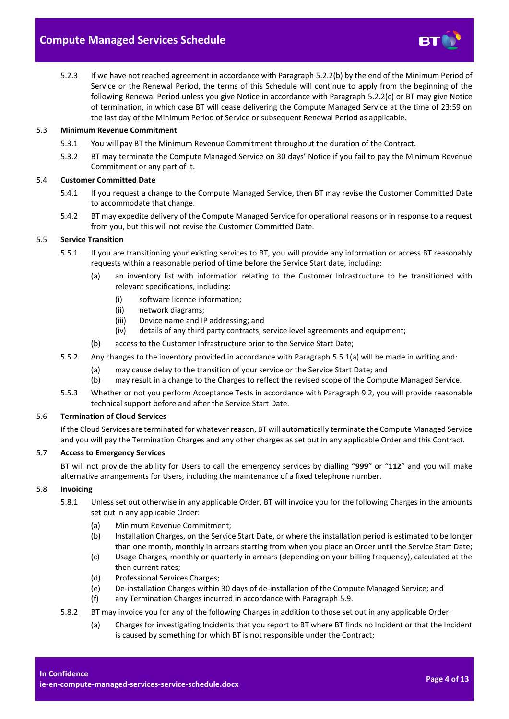

5.2.3 If we have not reached agreement in accordance with Paragrap[h 5.2.2\(b\)](#page-2-3) by the end of the Minimum Period of Service or the Renewal Period, the terms of this Schedule will continue to apply from the beginning of the following Renewal Period unless you give Notice in accordance with Paragraph [5.2.2\(c\)](#page-2-4) or BT may give Notice of termination, in which case BT will cease delivering the Compute Managed Service at the time of 23:59 on the last day of the Minimum Period of Service or subsequent Renewal Period as applicable.

## 5.3 **Minimum Revenue Commitment**

- 5.3.1 You will pay BT the Minimum Revenue Commitment throughout the duration of the Contract.
- 5.3.2 BT may terminate the Compute Managed Service on 30 days' Notice if you fail to pay the Minimum Revenue Commitment or any part of it.

#### 5.4 **Customer Committed Date**

- 5.4.1 If you request a change to the Compute Managed Service, then BT may revise the Customer Committed Date to accommodate that change.
- 5.4.2 BT may expedite delivery of the Compute Managed Service for operational reasons or in response to a request from you, but this will not revise the Customer Committed Date.

#### 5.5 **Service Transition**

- <span id="page-3-0"></span>5.5.1 If you are transitioning your existing services to BT, you will provide any information or access BT reasonably requests within a reasonable period of time before the Service Start date, including:
	- (a) an inventory list with information relating to the Customer Infrastructure to be transitioned with relevant specifications, including:
		- (i) software licence information;
		- (ii) network diagrams;
		- (iii) Device name and IP addressing; and
		- (iv) details of any third party contracts, service level agreements and equipment;
	- (b) access to the Customer Infrastructure prior to the Service Start Date;
- 5.5.2 Any changes to the inventory provided in accordance with Paragraph [5.5.1\(a\)](#page-3-0) will be made in writing and:
	- (a) may cause delay to the transition of your service or the Service Start Date; and
	- (b) may result in a change to the Charges to reflect the revised scope of the Compute Managed Service.
- 5.5.3 Whether or not you perform Acceptance Tests in accordance with Paragrap[h 9.2,](#page-9-3) you will provide reasonable technical support before and after the Service Start Date.

#### 5.6 **Termination of Cloud Services**

If the Cloud Services are terminated for whatever reason, BT will automatically terminate the Compute Managed Service and you will pay the Termination Charges and any other charges as set out in any applicable Order and this Contract.

# 5.7 **Access to Emergency Services**

BT will not provide the ability for Users to call the emergency services by dialling "**999**" or "**112**" and you will make alternative arrangements for Users, including the maintenance of a fixed telephone number.

# 5.8 **Invoicing**

- 5.8.1 Unless set out otherwise in any applicable Order, BT will invoice you for the following Charges in the amounts set out in any applicable Order:
	- (a) Minimum Revenue Commitment;
	- (b) Installation Charges, on the Service Start Date, or where the installation period is estimated to be longer than one month, monthly in arrears starting from when you place an Order until the Service Start Date;
	- (c) Usage Charges, monthly or quarterly in arrears (depending on your billing frequency), calculated at the then current rates;
	- (d) Professional Services Charges;
	- (e) De-installation Charges within 30 days of de-installation of the Compute Managed Service; and
	- (f) any Termination Charges incurred in accordance with Paragrap[h 5.9.](#page-4-0)
- 5.8.2 BT may invoice you for any of the following Charges in addition to those set out in any applicable Order:
	- (a) Charges for investigating Incidents that you report to BT where BT finds no Incident or that the Incident is caused by something for which BT is not responsible under the Contract;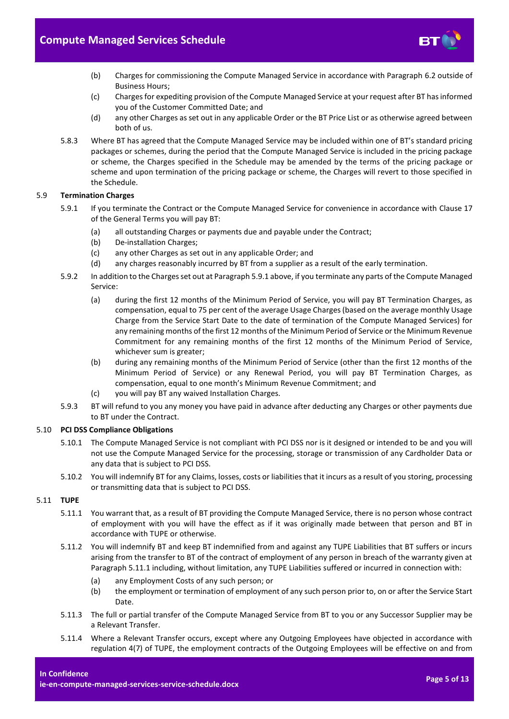

- (b) Charges for commissioning the Compute Managed Service in accordance with Paragraph [6.2](#page-6-3) outside of Business Hours;
- (c) Charges for expediting provision of the Compute Managed Service at your request after BT has informed you of the Customer Committed Date; and
- (d) any other Charges as set out in any applicable Order or the BT Price List or as otherwise agreed between both of us.
- 5.8.3 Where BT has agreed that the Compute Managed Service may be included within one of BT's standard pricing packages or schemes, during the period that the Compute Managed Service is included in the pricing package or scheme, the Charges specified in the Schedule may be amended by the terms of the pricing package or scheme and upon termination of the pricing package or scheme, the Charges will revert to those specified in the Schedule.

# <span id="page-4-1"></span><span id="page-4-0"></span>5.9 **Termination Charges**

- 5.9.1 If you terminate the Contract or the Compute Managed Service for convenience in accordance with Clause 17 of the General Terms you will pay BT:
	- (a) all outstanding Charges or payments due and payable under the Contract;
	- (b) De-installation Charges;
	- (c) any other Charges as set out in any applicable Order; and
	- (d) any charges reasonably incurred by BT from a supplier as a result of the early termination.
- 5.9.2 In addition to the Charges set out at Paragrap[h 5.9.1](#page-4-1) above, if you terminate any parts of the Compute Managed Service:
	- (a) during the first 12 months of the Minimum Period of Service, you will pay BT Termination Charges, as compensation, equal to 75 per cent of the average Usage Charges (based on the average monthly Usage Charge from the Service Start Date to the date of termination of the Compute Managed Services) for any remaining months of the first 12 months of the Minimum Period of Service or the Minimum Revenue Commitment for any remaining months of the first 12 months of the Minimum Period of Service, whichever sum is greater;
	- (b) during any remaining months of the Minimum Period of Service (other than the first 12 months of the Minimum Period of Service) or any Renewal Period, you will pay BT Termination Charges, as compensation, equal to one month's Minimum Revenue Commitment; and
	- (c) you will pay BT any waived Installation Charges.
- 5.9.3 BT will refund to you any money you have paid in advance after deducting any Charges or other payments due to BT under the Contract.

# 5.10 **PCI DSS Compliance Obligations**

- 5.10.1 The Compute Managed Service is not compliant with PCI DSS nor is it designed or intended to be and you will not use the Compute Managed Service for the processing, storage or transmission of any Cardholder Data or any data that is subject to PCI DSS.
- 5.10.2 You will indemnify BT for any Claims, losses, costs or liabilities that it incurs as a result of you storing, processing or transmitting data that is subject to PCI DSS.

# <span id="page-4-2"></span>5.11 **TUPE**

- 5.11.1 You warrant that, as a result of BT providing the Compute Managed Service, there is no person whose contract of employment with you will have the effect as if it was originally made between that person and BT in accordance with TUPE or otherwise.
- <span id="page-4-4"></span>5.11.2 You will indemnify BT and keep BT indemnified from and against any TUPE Liabilities that BT suffers or incurs arising from the transfer to BT of the contract of employment of any person in breach of the warranty given at Paragrap[h 5.11.1](#page-4-2) including, without limitation, any TUPE Liabilities suffered or incurred in connection with:
	- (a) any Employment Costs of any such person; or
	- (b) the employment or termination of employment of any such person prior to, on or after the Service Start Date.
- 5.11.3 The full or partial transfer of the Compute Managed Service from BT to you or any Successor Supplier may be a Relevant Transfer.
- <span id="page-4-3"></span>5.11.4 Where a Relevant Transfer occurs, except where any Outgoing Employees have objected in accordance with regulation 4(7) of TUPE, the employment contracts of the Outgoing Employees will be effective on and from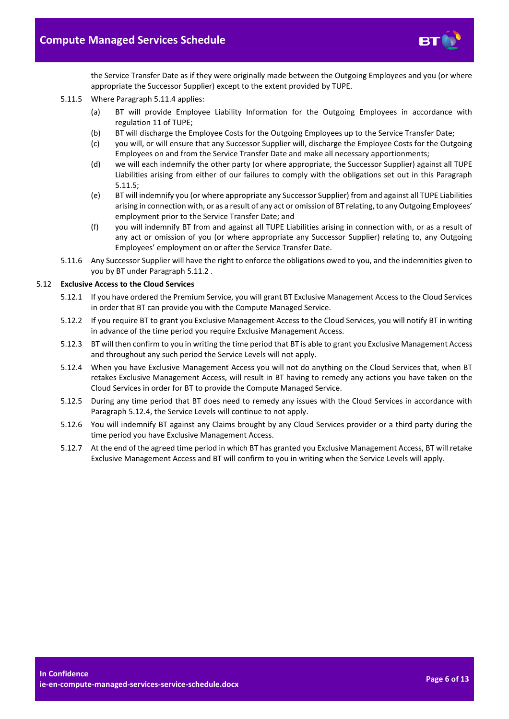

the Service Transfer Date as if they were originally made between the Outgoing Employees and you (or where appropriate the Successor Supplier) except to the extent provided by TUPE.

- <span id="page-5-0"></span>5.11.5 Where Paragraph [5.11.4](#page-4-3) applies:
	- (a) BT will provide Employee Liability Information for the Outgoing Employees in accordance with regulation 11 of TUPE;
	- (b) BT will discharge the Employee Costs for the Outgoing Employees up to the Service Transfer Date;
	- (c) you will, or will ensure that any Successor Supplier will, discharge the Employee Costs for the Outgoing Employees on and from the Service Transfer Date and make all necessary apportionments;
	- (d) we will each indemnify the other party (or where appropriate, the Successor Supplier) against all TUPE Liabilities arising from either of our failures to comply with the obligations set out in this Paragraph [5.11.5;](#page-5-0)
	- (e) BT will indemnify you (or where appropriate any Successor Supplier) from and against all TUPE Liabilities arising in connection with, or as a result of any act or omission of BT relating, to any Outgoing Employees' employment prior to the Service Transfer Date; and
	- (f) you will indemnify BT from and against all TUPE Liabilities arising in connection with, or as a result of any act or omission of you (or where appropriate any Successor Supplier) relating to, any Outgoing Employees' employment on or after the Service Transfer Date.
- 5.11.6 Any Successor Supplier will have the right to enforce the obligations owed to you, and the indemnities given to you by BT under Paragrap[h 5.11.2](#page-4-4) .

#### 5.12 **Exclusive Access to the Cloud Services**

- 5.12.1 If you have ordered the Premium Service, you will grant BT Exclusive Management Access to the Cloud Services in order that BT can provide you with the Compute Managed Service.
- <span id="page-5-2"></span>5.12.2 If you require BT to grant you Exclusive Management Access to the Cloud Services, you will notify BT in writing in advance of the time period you require Exclusive Management Access.
- <span id="page-5-3"></span>5.12.3 BT will then confirm to you in writing the time period that BT is able to grant you Exclusive Management Access and throughout any such period the Service Levels will not apply.
- <span id="page-5-1"></span>5.12.4 When you have Exclusive Management Access you will not do anything on the Cloud Services that, when BT retakes Exclusive Management Access, will result in BT having to remedy any actions you have taken on the Cloud Services in order for BT to provide the Compute Managed Service.
- 5.12.5 During any time period that BT does need to remedy any issues with the Cloud Services in accordance with Paragrap[h 5.12.4,](#page-5-1) the Service Levels will continue to not apply.
- 5.12.6 You will indemnify BT against any Claims brought by any Cloud Services provider or a third party during the time period you have Exclusive Management Access.
- 5.12.7 At the end of the agreed time period in which BT has granted you Exclusive Management Access, BT will retake Exclusive Management Access and BT will confirm to you in writing when the Service Levels will apply.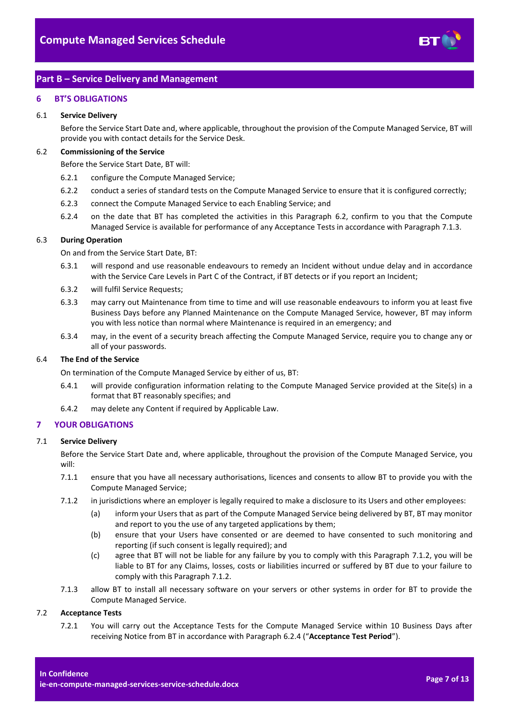

# <span id="page-6-0"></span>**Part B – Service Delivery and Management**

# <span id="page-6-1"></span>**6 BT'S OBLIGATIONS**

## 6.1 **Service Delivery**

Before the Service Start Date and, where applicable, throughout the provision of the Compute Managed Service, BT will provide you with contact details for the Service Desk.

## <span id="page-6-3"></span>6.2 **Commissioning of the Service**

Before the Service Start Date, BT will:

- 6.2.1 configure the Compute Managed Service;
- 6.2.2 conduct a series of standard tests on the Compute Managed Service to ensure that it is configured correctly;
- 6.2.3 connect the Compute Managed Service to each Enabling Service; and
- 6.2.4 on the date that BT has completed the activities in this Paragraph [6.2,](#page-6-3) confirm to you that the Compute Managed Service is available for performance of any Acceptance Tests in accordance with Paragraph [7.1.3.](#page-6-4)

# <span id="page-6-8"></span><span id="page-6-6"></span>6.3 **During Operation**

On and from the Service Start Date, BT:

- 6.3.1 will respond and use reasonable endeavours to remedy an Incident without undue delay and in accordance with the Service Care Levels in Part C of the Contract, if BT detects or if you report an Incident;
- 6.3.2 will fulfil Service Requests;
- 6.3.3 may carry out Maintenance from time to time and will use reasonable endeavours to inform you at least five Business Days before any Planned Maintenance on the Compute Managed Service, however, BT may inform you with less notice than normal where Maintenance is required in an emergency; and
- 6.3.4 may, in the event of a security breach affecting the Compute Managed Service, require you to change any or all of your passwords.

# 6.4 **The End of the Service**

On termination of the Compute Managed Service by either of us, BT:

- 6.4.1 will provide configuration information relating to the Compute Managed Service provided at the Site(s) in a format that BT reasonably specifies; and
- 6.4.2 may delete any Content if required by Applicable Law.

# <span id="page-6-2"></span>**7 YOUR OBLIGATIONS**

#### 7.1 **Service Delivery**

Before the Service Start Date and, where applicable, throughout the provision of the Compute Managed Service, you will:

- 7.1.1 ensure that you have all necessary authorisations, licences and consents to allow BT to provide you with the Compute Managed Service;
- <span id="page-6-5"></span>7.1.2 in jurisdictions where an employer is legally required to make a disclosure to its Users and other employees:
	- (a) inform your Users that as part of the Compute Managed Service being delivered by BT, BT may monitor and report to you the use of any targeted applications by them;
	- (b) ensure that your Users have consented or are deemed to have consented to such monitoring and reporting (if such consent is legally required); and
	- (c) agree that BT will not be liable for any failure by you to comply with this Paragraph [7.1.2,](#page-6-5) you will be liable to BT for any Claims, losses, costs or liabilities incurred or suffered by BT due to your failure to comply with this Paragraph [7.1.2.](#page-6-5)
- 7.1.3 allow BT to install all necessary software on your servers or other systems in order for BT to provide the Compute Managed Service.

#### <span id="page-6-7"></span><span id="page-6-4"></span>7.2 **Acceptance Tests**

7.2.1 You will carry out the Acceptance Tests for the Compute Managed Service within 10 Business Days after receiving Notice from BT in accordance with Paragrap[h 6.2.4](#page-6-6) ("**Acceptance Test Period**").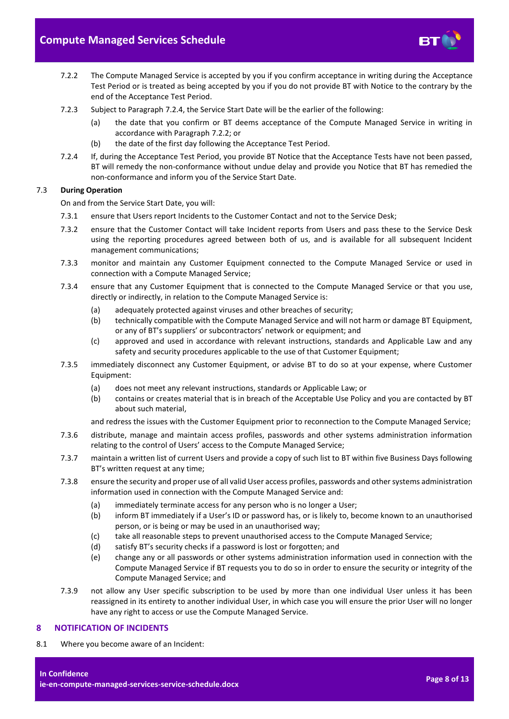

- <span id="page-7-2"></span>7.2.2 The Compute Managed Service is accepted by you if you confirm acceptance in writing during the Acceptance Test Period or is treated as being accepted by you if you do not provide BT with Notice to the contrary by the end of the Acceptance Test Period.
- 7.2.3 Subject to Paragrap[h 7.2.4,](#page-7-1) the Service Start Date will be the earlier of the following:
	- (a) the date that you confirm or BT deems acceptance of the Compute Managed Service in writing in accordance with Paragraph [7.2.2;](#page-7-2) or
	- (b) the date of the first day following the Acceptance Test Period.
- <span id="page-7-1"></span>7.2.4 If, during the Acceptance Test Period, you provide BT Notice that the Acceptance Tests have not been passed, BT will remedy the non-conformance without undue delay and provide you Notice that BT has remedied the non-conformance and inform you of the Service Start Date.

# 7.3 **During Operation**

On and from the Service Start Date, you will:

- 7.3.1 ensure that Users report Incidents to the Customer Contact and not to the Service Desk;
- 7.3.2 ensure that the Customer Contact will take Incident reports from Users and pass these to the Service Desk using the reporting procedures agreed between both of us, and is available for all subsequent Incident management communications;
- 7.3.3 monitor and maintain any Customer Equipment connected to the Compute Managed Service or used in connection with a Compute Managed Service;
- 7.3.4 ensure that any Customer Equipment that is connected to the Compute Managed Service or that you use, directly or indirectly, in relation to the Compute Managed Service is:
	- (a) adequately protected against viruses and other breaches of security;
	- (b) technically compatible with the Compute Managed Service and will not harm or damage BT Equipment, or any of BT's suppliers' or subcontractors' network or equipment; and
	- (c) approved and used in accordance with relevant instructions, standards and Applicable Law and any safety and security procedures applicable to the use of that Customer Equipment;
- 7.3.5 immediately disconnect any Customer Equipment, or advise BT to do so at your expense, where Customer Equipment:
	- (a) does not meet any relevant instructions, standards or Applicable Law; or
	- (b) contains or creates material that is in breach of the Acceptable Use Policy and you are contacted by BT about such material,

and redress the issues with the Customer Equipment prior to reconnection to the Compute Managed Service;

- 7.3.6 distribute, manage and maintain access profiles, passwords and other systems administration information relating to the control of Users' access to the Compute Managed Service;
- 7.3.7 maintain a written list of current Users and provide a copy of such list to BT within five Business Days following BT's written request at any time;
- 7.3.8 ensure the security and proper use of all valid User access profiles, passwords and other systems administration information used in connection with the Compute Managed Service and:
	- (a) immediately terminate access for any person who is no longer a User;
	- (b) inform BT immediately if a User's ID or password has, or is likely to, become known to an unauthorised person, or is being or may be used in an unauthorised way;
	- (c) take all reasonable steps to prevent unauthorised access to the Compute Managed Service;
	- (d) satisfy BT's security checks if a password is lost or forgotten; and
	- (e) change any or all passwords or other systems administration information used in connection with the Compute Managed Service if BT requests you to do so in order to ensure the security or integrity of the Compute Managed Service; and
- 7.3.9 not allow any User specific subscription to be used by more than one individual User unless it has been reassigned in its entirety to another individual User, in which case you will ensure the prior User will no longer have any right to access or use the Compute Managed Service.

# <span id="page-7-0"></span>**8 NOTIFICATION OF INCIDENTS**

8.1 Where you become aware of an Incident: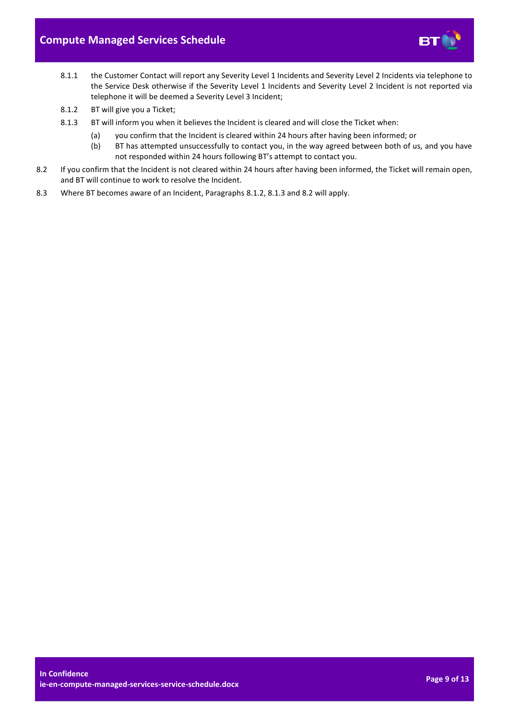

- 8.1.1 the Customer Contact will report any Severity Level 1 Incidents and Severity Level 2 Incidents via telephone to the Service Desk otherwise if the Severity Level 1 Incidents and Severity Level 2 Incident is not reported via telephone it will be deemed a Severity Level 3 Incident;
- <span id="page-8-0"></span>8.1.2 BT will give you a Ticket;
- <span id="page-8-1"></span>8.1.3 BT will inform you when it believes the Incident is cleared and will close the Ticket when:
	- (a) you confirm that the Incident is cleared within 24 hours after having been informed; or
	- (b) BT has attempted unsuccessfully to contact you, in the way agreed between both of us, and you have not responded within 24 hours following BT's attempt to contact you.
- <span id="page-8-2"></span>8.2 If you confirm that the Incident is not cleared within 24 hours after having been informed, the Ticket will remain open, and BT will continue to work to resolve the Incident.
- 8.3 Where BT becomes aware of an Incident, Paragraphs [8.1.2,](#page-8-0) [8.1.3](#page-8-1) an[d 8.2](#page-8-2) will apply.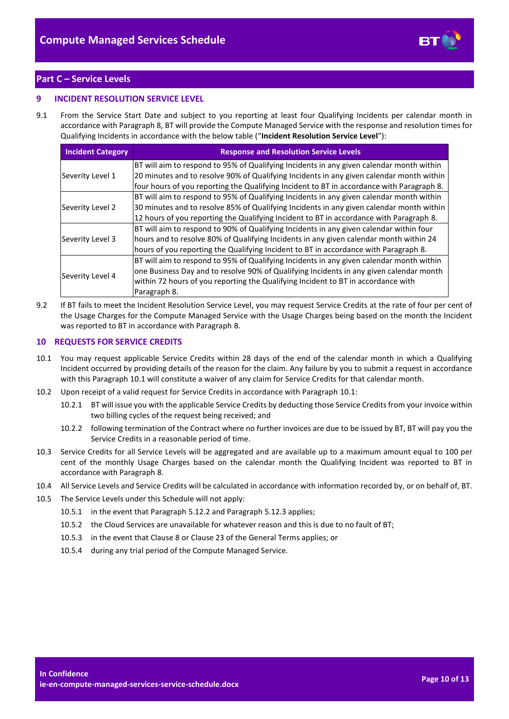

# <span id="page-9-0"></span>**Part C – Service Levels**

# <span id="page-9-1"></span>**9 INCIDENT RESOLUTION SERVICE LEVEL**

9.1 From the Service Start Date and subject to you reporting at least four Qualifying Incidents per calendar month in accordance with Paragrap[h 8,](#page-7-0) BT will provide the Compute Managed Service with the response and resolution times for Qualifying Incidents in accordance with the below table ("**Incident Resolution Service Level**"):

| <b>Incident Category</b> | <b>Response and Resolution Service Levels</b>                                             |
|--------------------------|-------------------------------------------------------------------------------------------|
|                          | BT will aim to respond to 95% of Qualifying Incidents in any given calendar month within  |
| Severity Level 1         | 20 minutes and to resolve 90% of Qualifying Incidents in any given calendar month within  |
|                          | four hours of you reporting the Qualifying Incident to BT in accordance with Paragraph 8. |
|                          | BT will aim to respond to 95% of Qualifying Incidents in any given calendar month within  |
| Severity Level 2         | 30 minutes and to resolve 85% of Qualifying Incidents in any given calendar month within  |
|                          | 12 hours of you reporting the Qualifying Incident to BT in accordance with Paragraph 8.   |
|                          | BT will aim to respond to 90% of Qualifying Incidents in any given calendar within four   |
| Severity Level 3         | hours and to resolve 80% of Qualifying Incidents in any given calendar month within 24    |
|                          | hours of you reporting the Qualifying Incident to BT in accordance with Paragraph 8.      |
|                          | BT will aim to respond to 95% of Qualifying Incidents in any given calendar month within  |
| Severity Level 4         | one Business Day and to resolve 90% of Qualifying Incidents in any given calendar month   |
|                          | within 72 hours of you reporting the Qualifying Incident to BT in accordance with         |
|                          | Paragraph 8.                                                                              |

<span id="page-9-3"></span>9.2 If BT fails to meet the Incident Resolution Service Level, you may request Service Credits at the rate of four per cent of the Usage Charges for the Compute Managed Service with the Usage Charges being based on the month the Incident was reported to BT in accordance with Paragrap[h 8.](#page-7-0)

# <span id="page-9-2"></span>**10 REQUESTS FOR SERVICE CREDITS**

- <span id="page-9-4"></span>10.1 You may request applicable Service Credits within 28 days of the end of the calendar month in which a Qualifying Incident occurred by providing details of the reason for the claim. Any failure by you to submit a request in accordance with this Paragraph [10.1](#page-9-4) will constitute a waiver of any claim for Service Credits for that calendar month.
- 10.2 Upon receipt of a valid request for Service Credits in accordance with Paragraph [10.1:](#page-9-4)
	- 10.2.1 BT will issue you with the applicable Service Credits by deducting those Service Credits from your invoice within two billing cycles of the request being received; and
	- 10.2.2 following termination of the Contract where no further invoices are due to be issued by BT, BT will pay you the Service Credits in a reasonable period of time.
- 10.3 Service Credits for all Service Levels will be aggregated and are available up to a maximum amount equal to 100 per cent of the monthly Usage Charges based on the calendar month the Qualifying Incident was reported to BT in accordance with Paragraph [8.](#page-7-0)
- 10.4 All Service Levels and Service Credits will be calculated in accordance with information recorded by, or on behalf of, BT.
- 10.5 The Service Levels under this Schedule will not apply:
	- 10.5.1 in the event that Paragrap[h 5.12.2](#page-5-2) and Paragrap[h 5.12.3](#page-5-3) applies;
	- 10.5.2 the Cloud Services are unavailable for whatever reason and this is due to no fault of BT;
	- 10.5.3 in the event that Clause 8 or Clause 23 of the General Terms applies; or
	- 10.5.4 during any trial period of the Compute Managed Service.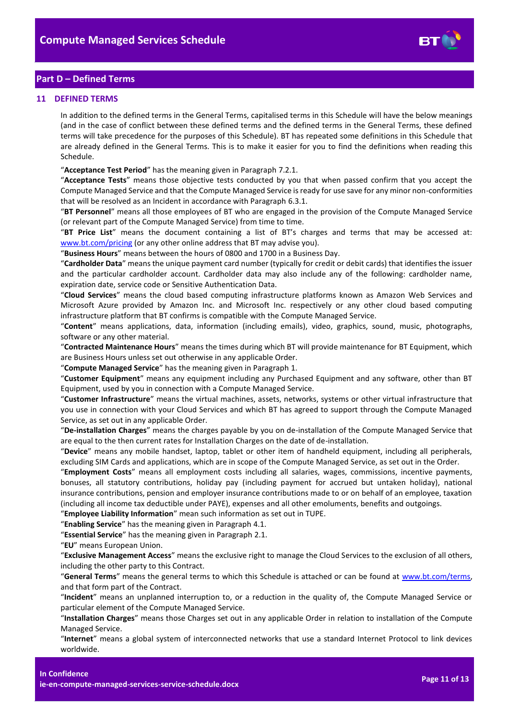

# <span id="page-10-0"></span>**Part D – Defined Terms**

## <span id="page-10-1"></span>**11 DEFINED TERMS**

In addition to the defined terms in the General Terms, capitalised terms in this Schedule will have the below meanings (and in the case of conflict between these defined terms and the defined terms in the General Terms, these defined terms will take precedence for the purposes of this Schedule). BT has repeated some definitions in this Schedule that are already defined in the General Terms. This is to make it easier for you to find the definitions when reading this Schedule.

"**Acceptance Test Period**" has the meaning given in Paragraph [7.2.1.](#page-6-7)

"**Acceptance Tests**" means those objective tests conducted by you that when passed confirm that you accept the Compute Managed Service and that the Compute Managed Service is ready for use save for any minor non-conformities that will be resolved as an Incident in accordance with Paragraph [6.3.1.](#page-6-8)

"**BT Personnel**" means all those employees of BT who are engaged in the provision of the Compute Managed Service (or relevant part of the Compute Managed Service) from time to time.

"**BT Price List**" means the document containing a list of BT's charges and terms that may be accessed at: [www.bt.com/pricing](http://www.bt.com/pricing) (or any other online address that BT may advise you).

"**Business Hours**" means between the hours of 0800 and 1700 in a Business Day.

"**Cardholder Data**" means the unique payment card number (typically for credit or debit cards) that identifies the issuer and the particular cardholder account. Cardholder data may also include any of the following: cardholder name, expiration date, service code or Sensitive Authentication Data.

"**Cloud Services**" means the cloud based computing infrastructure platforms known as Amazon Web Services and Microsoft Azure provided by Amazon Inc. and Microsoft Inc. respectively or any other cloud based computing infrastructure platform that BT confirms is compatible with the Compute Managed Service.

"**Content**" means applications, data, information (including emails), video, graphics, sound, music, photographs, software or any other material.

"**Contracted Maintenance Hours**" means the times during which BT will provide maintenance for BT Equipment, which are Business Hours unless set out otherwise in any applicable Order.

"**Compute Managed Service**" has the meaning given in Paragrap[h 1.](#page-1-3)

"**Customer Equipment**" means any equipment including any Purchased Equipment and any software, other than BT Equipment, used by you in connection with a Compute Managed Service.

"**Customer Infrastructure**" means the virtual machines, assets, networks, systems or other virtual infrastructure that you use in connection with your Cloud Services and which BT has agreed to support through the Compute Managed Service, as set out in any applicable Order.

"**De-installation Charges**" means the charges payable by you on de-installation of the Compute Managed Service that are equal to the then current rates for Installation Charges on the date of de-installation.

"**Device**" means any mobile handset, laptop, tablet or other item of handheld equipment, including all peripherals, excluding SIM Cards and applications, which are in scope of the Compute Managed Service, as set out in the Order.

"**Employment Costs**" means all employment costs including all salaries, wages, commissions, incentive payments, bonuses, all statutory contributions, holiday pay (including payment for accrued but untaken holiday), national insurance contributions, pension and employer insurance contributions made to or on behalf of an employee, taxation (including all income tax deductible under PAYE), expenses and all other emoluments, benefits and outgoings.

"**Employee Liability Information**" mean such information as set out in TUPE.

"**Enabling Service**" has the meaning given in Paragrap[h 4.1.](#page-2-5)

"**Essential Service**" has the meaning given in Paragrap[h 2.1.](#page-1-7)

"**EU**" means European Union.

"**Exclusive Management Access**" means the exclusive right to manage the Cloud Services to the exclusion of all others, including the other party to this Contract.

"**General Terms**" means the general terms to which this Schedule is attached or can be found at [www.bt.com/terms,](http://www.bt.com/terms) and that form part of the Contract.

"**Incident**" means an unplanned interruption to, or a reduction in the quality of, the Compute Managed Service or particular element of the Compute Managed Service.

"**Installation Charges**" means those Charges set out in any applicable Order in relation to installation of the Compute Managed Service.

"**Internet**" means a global system of interconnected networks that use a standard Internet Protocol to link devices worldwide.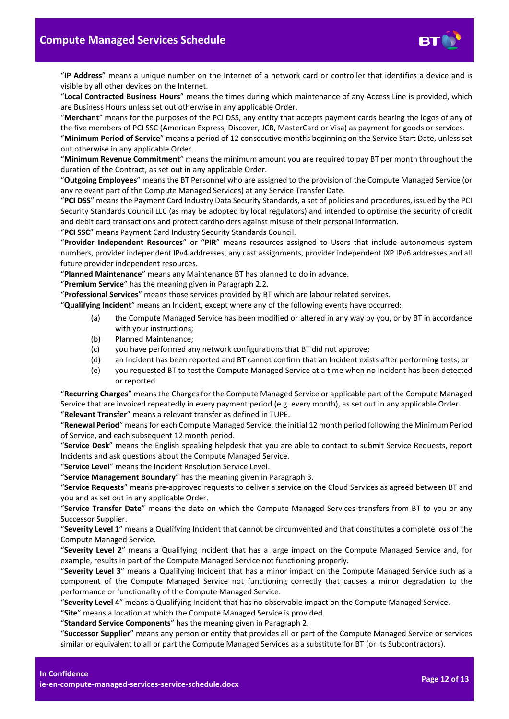

"**IP Address**" means a unique number on the Internet of a network card or controller that identifies a device and is visible by all other devices on the Internet.

"**Local Contracted Business Hours**" means the times during which maintenance of any Access Line is provided, which are Business Hours unless set out otherwise in any applicable Order.

"**Merchant**" means for the purposes of the PCI DSS, any entity that accepts payment cards bearing the logos of any of the five members of PCI SSC (American Express, Discover, JCB, MasterCard or Visa) as payment for goods or services.

"**Minimum Period of Service**" means a period of 12 consecutive months beginning on the Service Start Date, unless set out otherwise in any applicable Order.

"**Minimum Revenue Commitment**" means the minimum amount you are required to pay BT per month throughout the duration of the Contract, as set out in any applicable Order.

"**Outgoing Employees**" means the BT Personnel who are assigned to the provision of the Compute Managed Service (or any relevant part of the Compute Managed Services) at any Service Transfer Date.

"**PCI DSS**" means the Payment Card Industry Data Security Standards, a set of policies and procedures, issued by the PCI Security Standards Council LLC (as may be adopted by local regulators) and intended to optimise the security of credit and debit card transactions and protect cardholders against misuse of their personal information.

"**PCI SSC**" means Payment Card Industry Security Standards Council.

"**Provider Independent Resources**" or "**PIR**" means resources assigned to Users that include autonomous system numbers, provider independent IPv4 addresses, any cast assignments, provider independent IXP IPv6 addresses and all future provider independent resources.

"**Planned Maintenance**" means any Maintenance BT has planned to do in advance.

"**Premium Service**" has the meaning given in Paragraph [2.2.](#page-1-8)

"**Professional Services**" means those services provided by BT which are labour related services.

"**Qualifying Incident**" means an Incident, except where any of the following events have occurred:

- (a) the Compute Managed Service has been modified or altered in any way by you, or by BT in accordance with your instructions;
- (b) Planned Maintenance;
- (c) you have performed any network configurations that BT did not approve;
- (d) an Incident has been reported and BT cannot confirm that an Incident exists after performing tests; or
- (e) you requested BT to test the Compute Managed Service at a time when no Incident has been detected or reported.

"**Recurring Charges**" means the Charges for the Compute Managed Service or applicable part of the Compute Managed Service that are invoiced repeatedly in every payment period (e.g. every month), as set out in any applicable Order. "**Relevant Transfer**" means a relevant transfer as defined in TUPE.

"**Renewal Period**" means for each Compute Managed Service, the initial 12 month period following the Minimum Period of Service, and each subsequent 12 month period.

"**Service Desk**" means the English speaking helpdesk that you are able to contact to submit Service Requests, report Incidents and ask questions about the Compute Managed Service.

"**Service Level**" means the Incident Resolution Service Level.

"**Service Management Boundary**" has the meaning given in Paragrap[h 3.](#page-1-5)

"**Service Requests**" means pre-approved requests to deliver a service on the Cloud Services as agreed between BT and you and as set out in any applicable Order.

"**Service Transfer Date**" means the date on which the Compute Managed Services transfers from BT to you or any Successor Supplier.

"**Severity Level 1**" means a Qualifying Incident that cannot be circumvented and that constitutes a complete loss of the Compute Managed Service.

"**Severity Level 2**" means a Qualifying Incident that has a large impact on the Compute Managed Service and, for example, results in part of the Compute Managed Service not functioning properly.

"**Severity Level 3**" means a Qualifying Incident that has a minor impact on the Compute Managed Service such as a component of the Compute Managed Service not functioning correctly that causes a minor degradation to the performance or functionality of the Compute Managed Service.

"**Severity Level 4**" means a Qualifying Incident that has no observable impact on the Compute Managed Service.

"**Site**" means a location at which the Compute Managed Service is provided.

"**Standard Service Components**" has the meaning given in Paragrap[h 2.](#page-1-4)

"**Successor Supplier**" means any person or entity that provides all or part of the Compute Managed Service or services similar or equivalent to all or part the Compute Managed Services as a substitute for BT (or its Subcontractors).